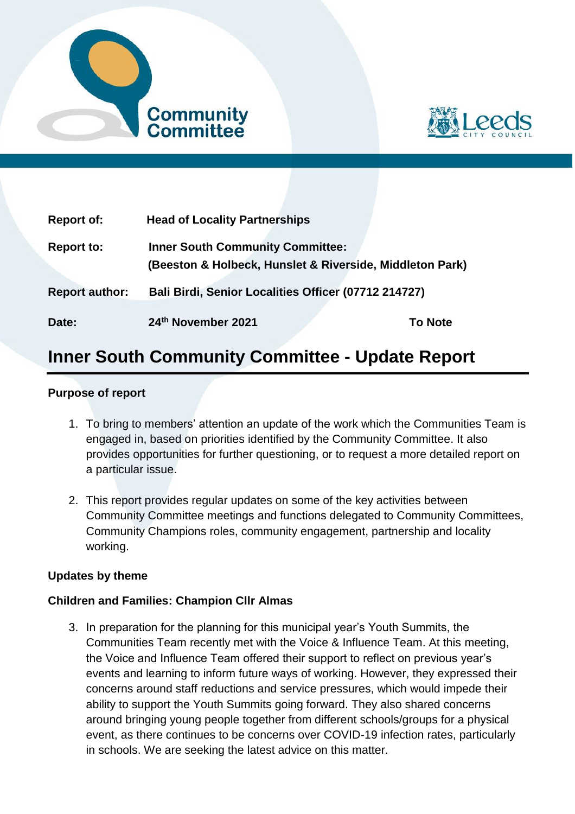



| <b>Report of:</b>     | <b>Head of Locality Partnerships</b>                                                                |                |
|-----------------------|-----------------------------------------------------------------------------------------------------|----------------|
| <b>Report to:</b>     | <b>Inner South Community Committee:</b><br>(Beeston & Holbeck, Hunslet & Riverside, Middleton Park) |                |
| <b>Report author:</b> | Bali Birdi, Senior Localities Officer (07712 214727)                                                |                |
| Date:                 | 24th November 2021                                                                                  | <b>To Note</b> |

# **Inner South Community Committee - Update Report**

#### **Purpose of report**

- 1. To bring to members' attention an update of the work which the Communities Team is engaged in, based on priorities identified by the Community Committee. It also provides opportunities for further questioning, or to request a more detailed report on a particular issue.
- 2. This report provides regular updates on some of the key activities between Community Committee meetings and functions delegated to Community Committees, Community Champions roles, community engagement, partnership and locality working.

#### **Updates by theme**

#### **Children and Families: Champion Cllr Almas**

3. In preparation for the planning for this municipal year's Youth Summits, the Communities Team recently met with the Voice & Influence Team. At this meeting, the Voice and Influence Team offered their support to reflect on previous year's events and learning to inform future ways of working. However, they expressed their concerns around staff reductions and service pressures, which would impede their ability to support the Youth Summits going forward. They also shared concerns around bringing young people together from different schools/groups for a physical event, as there continues to be concerns over COVID-19 infection rates, particularly in schools. We are seeking the latest advice on this matter.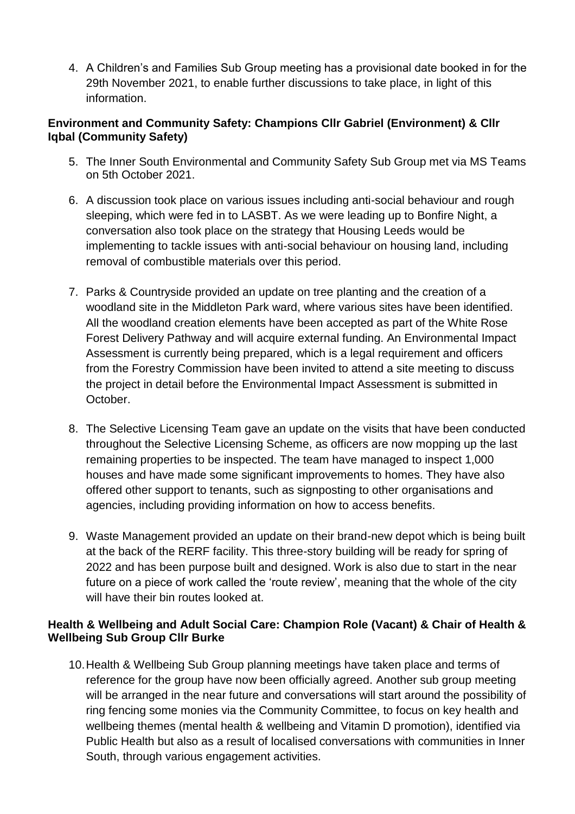4. A Children's and Families Sub Group meeting has a provisional date booked in for the 29th November 2021, to enable further discussions to take place, in light of this information.

# **Environment and Community Safety: Champions Cllr Gabriel (Environment) & Cllr Iqbal (Community Safety)**

- 5. The Inner South Environmental and Community Safety Sub Group met via MS Teams on 5th October 2021.
- 6. A discussion took place on various issues including anti-social behaviour and rough sleeping, which were fed in to LASBT. As we were leading up to Bonfire Night, a conversation also took place on the strategy that Housing Leeds would be implementing to tackle issues with anti-social behaviour on housing land, including removal of combustible materials over this period.
- 7. Parks & Countryside provided an update on tree planting and the creation of a woodland site in the Middleton Park ward, where various sites have been identified. All the woodland creation elements have been accepted as part of the White Rose Forest Delivery Pathway and will acquire external funding. An Environmental Impact Assessment is currently being prepared, which is a legal requirement and officers from the Forestry Commission have been invited to attend a site meeting to discuss the project in detail before the Environmental Impact Assessment is submitted in October.
- 8. The Selective Licensing Team gave an update on the visits that have been conducted throughout the Selective Licensing Scheme, as officers are now mopping up the last remaining properties to be inspected. The team have managed to inspect 1,000 houses and have made some significant improvements to homes. They have also offered other support to tenants, such as signposting to other organisations and agencies, including providing information on how to access benefits.
- 9. Waste Management provided an update on their brand-new depot which is being built at the back of the RERF facility. This three-story building will be ready for spring of 2022 and has been purpose built and designed. Work is also due to start in the near future on a piece of work called the 'route review', meaning that the whole of the city will have their bin routes looked at.

# **Health & Wellbeing and Adult Social Care: Champion Role (Vacant) & Chair of Health & Wellbeing Sub Group Cllr Burke**

10.Health & Wellbeing Sub Group planning meetings have taken place and terms of reference for the group have now been officially agreed. Another sub group meeting will be arranged in the near future and conversations will start around the possibility of ring fencing some monies via the Community Committee, to focus on key health and wellbeing themes (mental health & wellbeing and Vitamin D promotion), identified via Public Health but also as a result of localised conversations with communities in Inner South, through various engagement activities.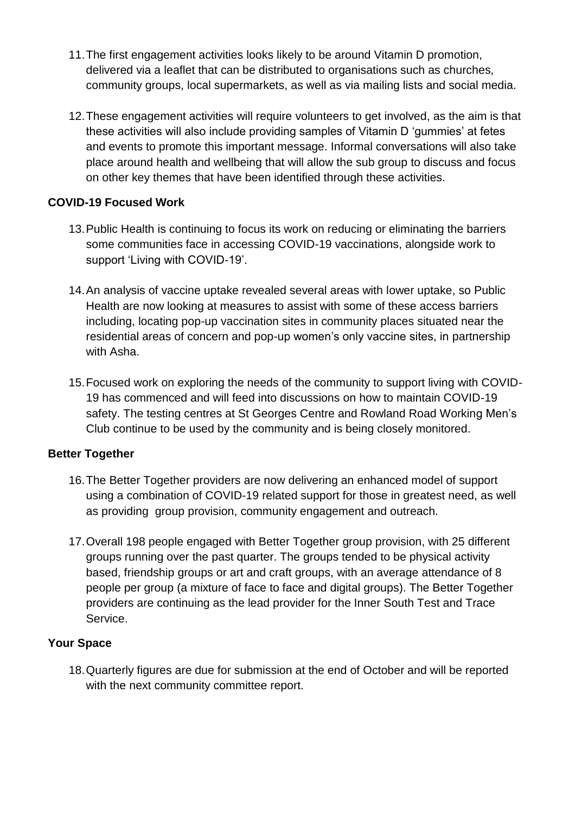- 11.The first engagement activities looks likely to be around Vitamin D promotion, delivered via a leaflet that can be distributed to organisations such as churches, community groups, local supermarkets, as well as via mailing lists and social media.
- 12.These engagement activities will require volunteers to get involved, as the aim is that these activities will also include providing samples of Vitamin D 'gummies' at fetes and events to promote this important message. Informal conversations will also take place around health and wellbeing that will allow the sub group to discuss and focus on other key themes that have been identified through these activities.

# **COVID-19 Focused Work**

- 13.Public Health is continuing to focus its work on reducing or eliminating the barriers some communities face in accessing COVID-19 vaccinations, alongside work to support 'Living with COVID-19'.
- 14.An analysis of vaccine uptake revealed several areas with lower uptake, so Public Health are now looking at measures to assist with some of these access barriers including, locating pop-up vaccination sites in community places situated near the residential areas of concern and pop-up women's only vaccine sites, in partnership with Asha.
- 15.Focused work on exploring the needs of the community to support living with COVID-19 has commenced and will feed into discussions on how to maintain COVID-19 safety. The testing centres at St Georges Centre and Rowland Road Working Men's Club continue to be used by the community and is being closely monitored.

# **Better Together**

- 16.The Better Together providers are now delivering an enhanced model of support using a combination of COVID-19 related support for those in greatest need, as well as providing group provision, community engagement and outreach.
- 17.Overall 198 people engaged with Better Together group provision, with 25 different groups running over the past quarter. The groups tended to be physical activity based, friendship groups or art and craft groups, with an average attendance of 8 people per group (a mixture of face to face and digital groups). The Better Together providers are continuing as the lead provider for the Inner South Test and Trace Service.

# **Your Space**

18.Quarterly figures are due for submission at the end of October and will be reported with the next community committee report.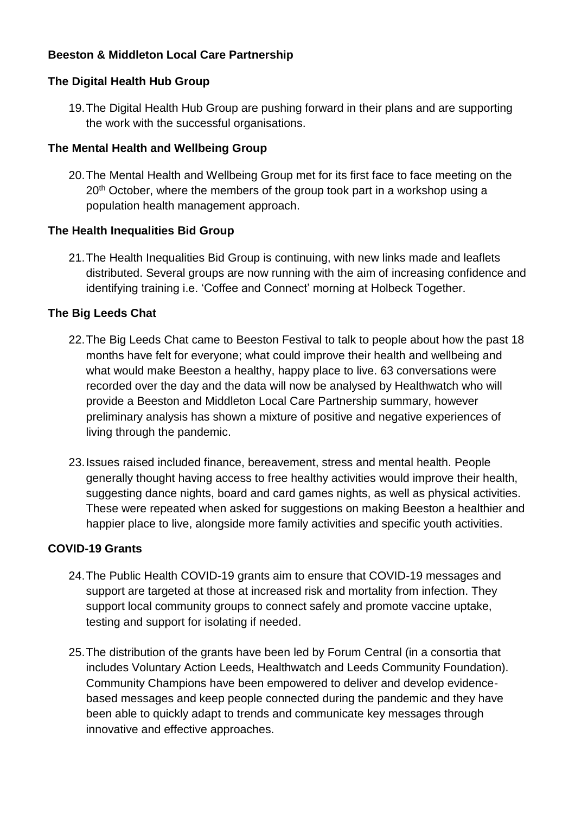# **Beeston & Middleton Local Care Partnership**

# **The Digital Health Hub Group**

19.The Digital Health Hub Group are pushing forward in their plans and are supporting the work with the successful organisations.

# **The Mental Health and Wellbeing Group**

20.The Mental Health and Wellbeing Group met for its first face to face meeting on the 20<sup>th</sup> October, where the members of the group took part in a workshop using a population health management approach.

# **The Health Inequalities Bid Group**

21.The Health Inequalities Bid Group is continuing, with new links made and leaflets distributed. Several groups are now running with the aim of increasing confidence and identifying training i.e. 'Coffee and Connect' morning at Holbeck Together.

# **The Big Leeds Chat**

- 22.The Big Leeds Chat came to Beeston Festival to talk to people about how the past 18 months have felt for everyone; what could improve their health and wellbeing and what would make Beeston a healthy, happy place to live. 63 conversations were recorded over the day and the data will now be analysed by Healthwatch who will provide a Beeston and Middleton Local Care Partnership summary, however preliminary analysis has shown a mixture of positive and negative experiences of living through the pandemic.
- 23.Issues raised included finance, bereavement, stress and mental health. People generally thought having access to free healthy activities would improve their health, suggesting dance nights, board and card games nights, as well as physical activities. These were repeated when asked for suggestions on making Beeston a healthier and happier place to live, alongside more family activities and specific youth activities.

# **COVID-19 Grants**

- 24.The Public Health COVID-19 grants aim to ensure that COVID-19 messages and support are targeted at those at increased risk and mortality from infection. They support local community groups to connect safely and promote vaccine uptake, testing and support for isolating if needed.
- 25.The distribution of the grants have been led by Forum Central (in a consortia that includes Voluntary Action Leeds, Healthwatch and Leeds Community Foundation). Community Champions have been empowered to deliver and develop evidencebased messages and keep people connected during the pandemic and they have been able to quickly adapt to trends and communicate key messages through innovative and effective approaches.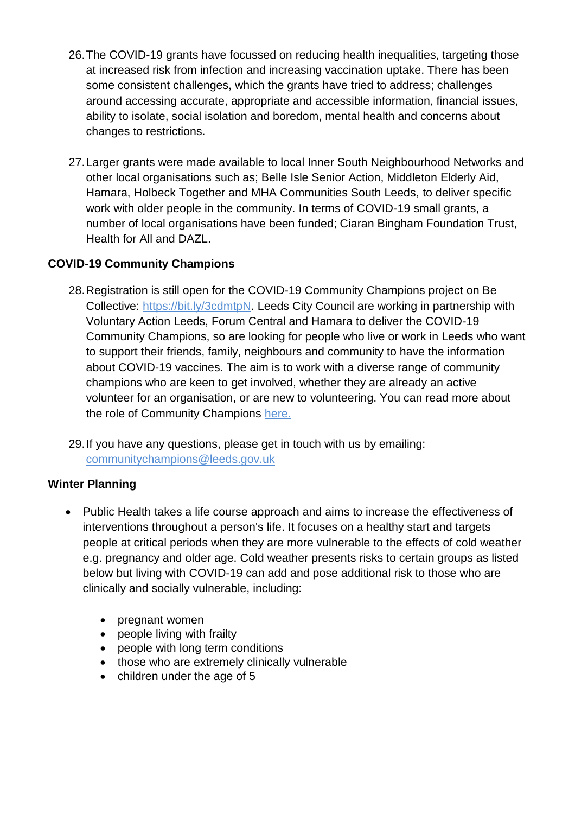- 26.The COVID-19 grants have focussed on reducing health inequalities, targeting those at increased risk from infection and increasing vaccination uptake. There has been some consistent challenges, which the grants have tried to address; challenges around accessing accurate, appropriate and accessible information, financial issues, ability to isolate, social isolation and boredom, mental health and concerns about changes to restrictions.
- 27.Larger grants were made available to local Inner South Neighbourhood Networks and other local organisations such as; Belle Isle Senior Action, Middleton Elderly Aid, Hamara, Holbeck Together and MHA Communities South Leeds, to deliver specific work with older people in the community. In terms of COVID-19 small grants, a number of local organisations have been funded; Ciaran Bingham Foundation Trust, Health for All and DAZL.

# **COVID-19 Community Champions**

- 28.Registration is still open for the COVID-19 Community Champions project on Be Collective: [https://bit.ly/3cdmtpN.](https://bit.ly/3cdmtpN) Leeds City Council are working in partnership with Voluntary Action Leeds, Forum Central and Hamara to deliver the COVID-19 Community Champions, so are looking for people who live or work in Leeds who want to support their friends, family, neighbours and community to have the information about COVID-19 vaccines. The aim is to work with a diverse range of community champions who are keen to get involved, whether they are already an active volunteer for an organisation, or are new to volunteering. You can read more about the role of Community Champions [here.](https://drive.google.com/file/d/1lfJhLg1pP9IMyEV61pixF9zzfKELV_mk/view?usp=sharing)
- 29.If you have any questions, please get in touch with us by emailing: [communitychampions@leeds.gov.uk](mailto:communitychampions@leeds.gov.uk)

# **Winter Planning**

- Public Health takes a life course approach and aims to increase the effectiveness of interventions throughout a person's life. It focuses on a healthy start and targets people at critical periods when they are more vulnerable to the effects of cold weather e.g. pregnancy and older age. Cold weather presents risks to certain groups as listed below but living with COVID-19 can add and pose additional risk to those who are clinically and socially vulnerable, including:
	- pregnant women
	- people living with frailty
	- people with long term conditions
	- those who are extremely clinically vulnerable
	- children under the age of 5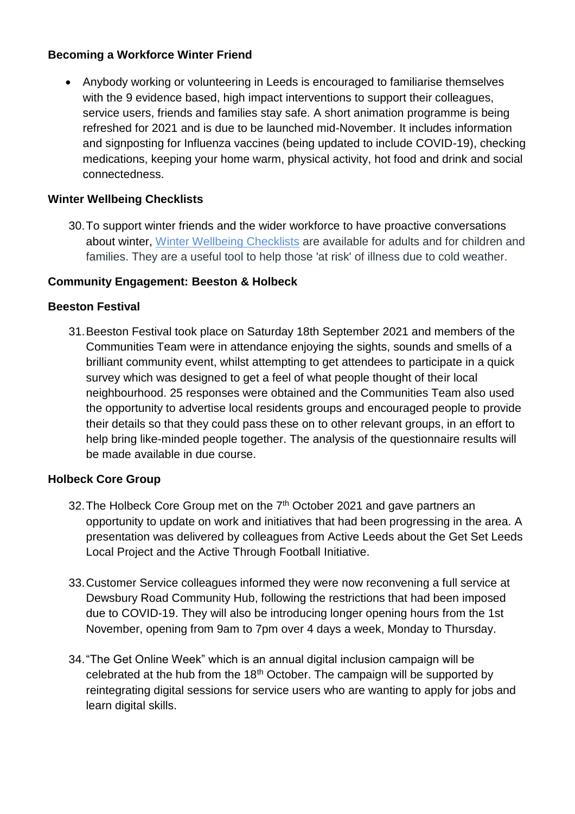# **Becoming a Workforce Winter Friend**

 Anybody working or volunteering in Leeds is encouraged to familiarise themselves with the 9 evidence based, high impact interventions to support their colleagues, service users, friends and families stay safe. A short animation programme is being refreshed for 2021 and is due to be launched mid-November. It includes information and signposting for Influenza vaccines (being updated to include COVID-19), checking medications, keeping your home warm, physical activity, hot food and drink and social connectedness.

# **Winter Wellbeing Checklists**

30.To support winter friends and the wider workforce to have proactive conversations about winter, [Winter Wellbeing Checklists](https://www.leeds.gov.uk/phrc/public-health-training/winter-wellbeing-checklists) are available for adults and for children and families. They are a useful tool to help those 'at risk' of illness due to cold weather.

# **Community Engagement: Beeston & Holbeck**

#### **Beeston Festival**

31.Beeston Festival took place on Saturday 18th September 2021 and members of the Communities Team were in attendance enjoying the sights, sounds and smells of a brilliant community event, whilst attempting to get attendees to participate in a quick survey which was designed to get a feel of what people thought of their local neighbourhood. 25 responses were obtained and the Communities Team also used the opportunity to advertise local residents groups and encouraged people to provide their details so that they could pass these on to other relevant groups, in an effort to help bring like-minded people together. The analysis of the questionnaire results will be made available in due course.

#### **Holbeck Core Group**

- 32. The Holbeck Core Group met on the 7<sup>th</sup> October 2021 and gave partners an opportunity to update on work and initiatives that had been progressing in the area. A presentation was delivered by colleagues from Active Leeds about the Get Set Leeds Local Project and the Active Through Football Initiative.
- 33.Customer Service colleagues informed they were now reconvening a full service at Dewsbury Road Community Hub, following the restrictions that had been imposed due to COVID-19. They will also be introducing longer opening hours from the 1st November, opening from 9am to 7pm over 4 days a week, Monday to Thursday.
- 34."The Get Online Week" which is an annual digital inclusion campaign will be celebrated at the hub from the  $18<sup>th</sup>$  October. The campaign will be supported by reintegrating digital sessions for service users who are wanting to apply for jobs and learn digital skills.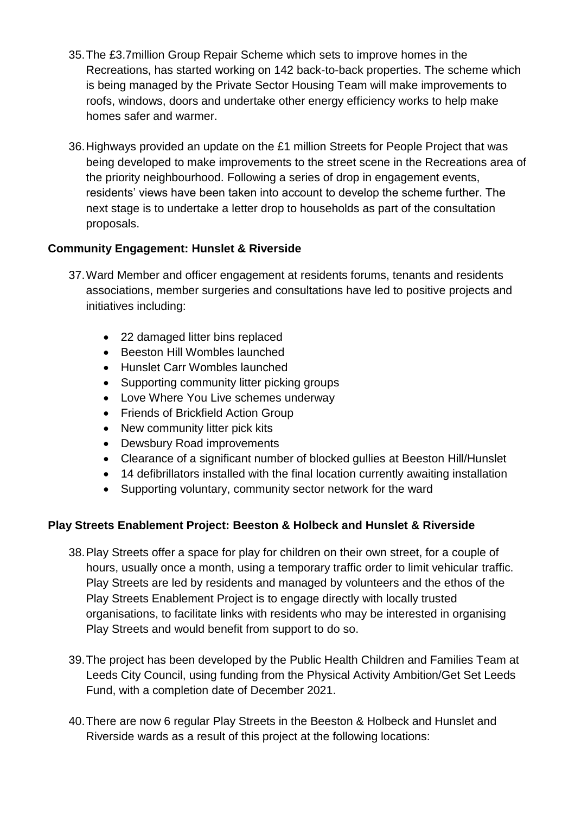- 35.The £3.7million Group Repair Scheme which sets to improve homes in the Recreations, has started working on 142 back-to-back properties. The scheme which is being managed by the Private Sector Housing Team will make improvements to roofs, windows, doors and undertake other energy efficiency works to help make homes safer and warmer.
- 36.Highways provided an update on the £1 million Streets for People Project that was being developed to make improvements to the street scene in the Recreations area of the priority neighbourhood. Following a series of drop in engagement events, residents' views have been taken into account to develop the scheme further. The next stage is to undertake a letter drop to households as part of the consultation proposals.

# **Community Engagement: Hunslet & Riverside**

- 37.Ward Member and officer engagement at residents forums, tenants and residents associations, member surgeries and consultations have led to positive projects and initiatives including:
	- 22 damaged litter bins replaced
	- Beeston Hill Wombles launched
	- Hunslet Carr Wombles launched
	- Supporting community litter picking groups
	- Love Where You Live schemes underway
	- Friends of Brickfield Action Group
	- New community litter pick kits
	- Dewsbury Road improvements
	- Clearance of a significant number of blocked gullies at Beeston Hill/Hunslet
	- 14 defibrillators installed with the final location currently awaiting installation
	- Supporting voluntary, community sector network for the ward

# **Play Streets Enablement Project: Beeston & Holbeck and Hunslet & Riverside**

- 38.Play Streets offer a space for play for children on their own street, for a couple of hours, usually once a month, using a temporary traffic order to limit vehicular traffic. Play Streets are led by residents and managed by volunteers and the ethos of the Play Streets Enablement Project is to engage directly with locally trusted organisations, to facilitate links with residents who may be interested in organising Play Streets and would benefit from support to do so.
- 39.The project has been developed by the Public Health Children and Families Team at Leeds City Council, using funding from the Physical Activity Ambition/Get Set Leeds Fund, with a completion date of December 2021.
- 40.There are now 6 regular Play Streets in the Beeston & Holbeck and Hunslet and Riverside wards as a result of this project at the following locations: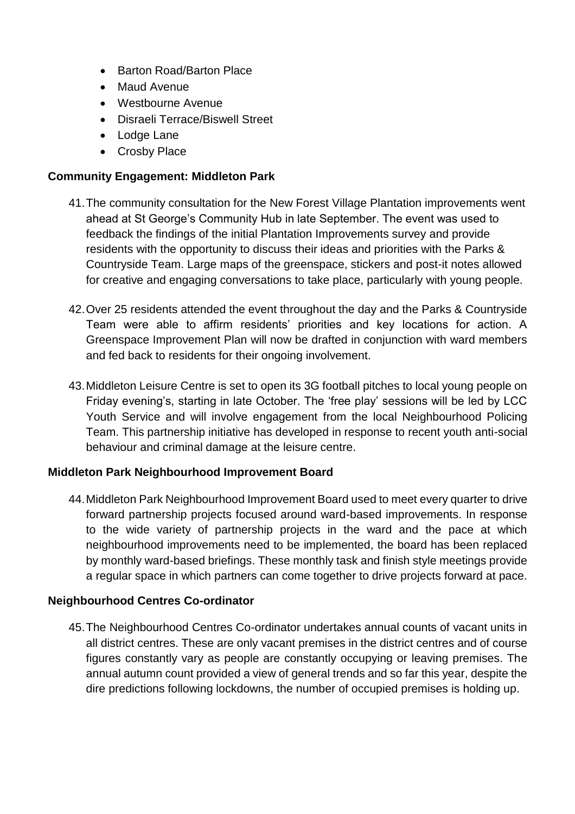- Barton Road/Barton Place
- Maud Avenue
- Westbourne Avenue
- Disraeli Terrace/Biswell Street
- Lodge Lane
- Crosby Place

#### **Community Engagement: Middleton Park**

- 41.The community consultation for the New Forest Village Plantation improvements went ahead at St George's Community Hub in late September. The event was used to feedback the findings of the initial Plantation Improvements survey and provide residents with the opportunity to discuss their ideas and priorities with the Parks & Countryside Team. Large maps of the greenspace, stickers and post-it notes allowed for creative and engaging conversations to take place, particularly with young people.
- 42.Over 25 residents attended the event throughout the day and the Parks & Countryside Team were able to affirm residents' priorities and key locations for action. A Greenspace Improvement Plan will now be drafted in conjunction with ward members and fed back to residents for their ongoing involvement.
- 43.Middleton Leisure Centre is set to open its 3G football pitches to local young people on Friday evening's, starting in late October. The 'free play' sessions will be led by LCC Youth Service and will involve engagement from the local Neighbourhood Policing Team. This partnership initiative has developed in response to recent youth anti-social behaviour and criminal damage at the leisure centre.

#### **Middleton Park Neighbourhood Improvement Board**

44.Middleton Park Neighbourhood Improvement Board used to meet every quarter to drive forward partnership projects focused around ward-based improvements. In response to the wide variety of partnership projects in the ward and the pace at which neighbourhood improvements need to be implemented, the board has been replaced by monthly ward-based briefings. These monthly task and finish style meetings provide a regular space in which partners can come together to drive projects forward at pace.

#### **Neighbourhood Centres Co-ordinator**

45.The Neighbourhood Centres Co-ordinator undertakes annual counts of vacant units in all district centres. These are only vacant premises in the district centres and of course figures constantly vary as people are constantly occupying or leaving premises. The annual autumn count provided a view of general trends and so far this year, despite the dire predictions following lockdowns, the number of occupied premises is holding up.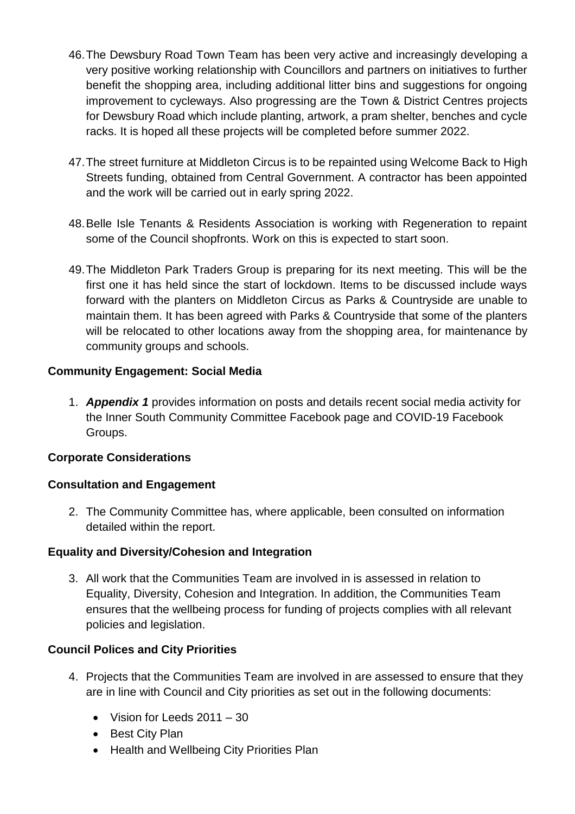- 46.The Dewsbury Road Town Team has been very active and increasingly developing a very positive working relationship with Councillors and partners on initiatives to further benefit the shopping area, including additional litter bins and suggestions for ongoing improvement to cycleways. Also progressing are the Town & District Centres projects for Dewsbury Road which include planting, artwork, a pram shelter, benches and cycle racks. It is hoped all these projects will be completed before summer 2022.
- 47.The street furniture at Middleton Circus is to be repainted using Welcome Back to High Streets funding, obtained from Central Government. A contractor has been appointed and the work will be carried out in early spring 2022.
- 48.Belle Isle Tenants & Residents Association is working with Regeneration to repaint some of the Council shopfronts. Work on this is expected to start soon.
- 49.The Middleton Park Traders Group is preparing for its next meeting. This will be the first one it has held since the start of lockdown. Items to be discussed include ways forward with the planters on Middleton Circus as Parks & Countryside are unable to maintain them. It has been agreed with Parks & Countryside that some of the planters will be relocated to other locations away from the shopping area, for maintenance by community groups and schools.

# **Community Engagement: Social Media**

1. *Appendix 1* provides information on posts and details recent social media activity for the Inner South Community Committee Facebook page and COVID-19 Facebook Groups.

# **Corporate Considerations**

# **Consultation and Engagement**

2. The Community Committee has, where applicable, been consulted on information detailed within the report.

# **Equality and Diversity/Cohesion and Integration**

3. All work that the Communities Team are involved in is assessed in relation to Equality, Diversity, Cohesion and Integration. In addition, the Communities Team ensures that the wellbeing process for funding of projects complies with all relevant policies and legislation.

# **Council Polices and City Priorities**

- 4. Projects that the Communities Team are involved in are assessed to ensure that they are in line with Council and City priorities as set out in the following documents:
	- Vision for Leeds 2011 30
	- Best City Plan
	- Health and Wellbeing City Priorities Plan